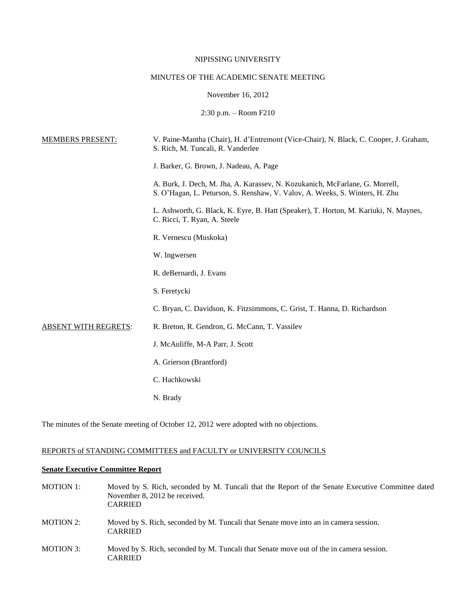## NIPISSING UNIVERSITY

# MINUTES OF THE ACADEMIC SENATE MEETING

## November 16, 2012

2:30 p.m. – Room F210

| <b>MEMBERS PRESENT:</b> | V. Paine-Mantha (Chair), H. d'Entremont (Vice-Chair), N. Black, C. Cooper, J. Graham,<br>S. Rich, M. Tuncali, R. Vanderlee                                  |
|-------------------------|-------------------------------------------------------------------------------------------------------------------------------------------------------------|
|                         | J. Barker, G. Brown, J. Nadeau, A. Page                                                                                                                     |
|                         | A. Burk, J. Dech, M. Jha, A. Karassev, N. Kozukanich, McFarlane, G. Morrell,<br>S. O'Hagan, L. Peturson, S. Renshaw, V. Valov, A. Weeks, S. Winters, H. Zhu |
|                         | L. Ashworth, G. Black, K. Eyre, B. Hatt (Speaker), T. Horton, M. Kariuki, N. Maynes,<br>C. Ricci, T. Ryan, A. Steele                                        |
|                         | R. Vernescu (Muskoka)                                                                                                                                       |
|                         | W. Ingwersen                                                                                                                                                |
|                         | R. deBernardi, J. Evans                                                                                                                                     |
|                         | S. Feretycki                                                                                                                                                |
|                         | C. Bryan, C. Davidson, K. Fitzsimmons, C. Grist, T. Hanna, D. Richardson                                                                                    |
| ABSENT WITH REGRETS:    | R. Breton, R. Gendron, G. McCann, T. Vassilev                                                                                                               |
|                         | J. McAuliffe, M-A Parr, J. Scott                                                                                                                            |
|                         | A. Grierson (Brantford)                                                                                                                                     |
|                         | C. Hachkowski                                                                                                                                               |
|                         | N. Brady                                                                                                                                                    |
|                         |                                                                                                                                                             |

The minutes of the Senate meeting of October 12, 2012 were adopted with no objections.

## REPORTS of STANDING COMMITTEES and FACULTY or UNIVERSITY COUNCILS

## **Senate Executive Committee Report**

| MOTION 1: | Moved by S. Rich, seconded by M. Tuncali that the Report of the Senate Executive Committee dated<br>November 8, 2012 be received.<br><b>CARRIED</b> |
|-----------|-----------------------------------------------------------------------------------------------------------------------------------------------------|
| MOTION 2: | Moved by S. Rich, seconded by M. Tuncali that Senate move into an in camera session.<br><b>CARRIED</b>                                              |
| MOTION 3: | Moved by S. Rich, seconded by M. Tuncali that Senate move out of the in camera session.<br><b>CARRIED</b>                                           |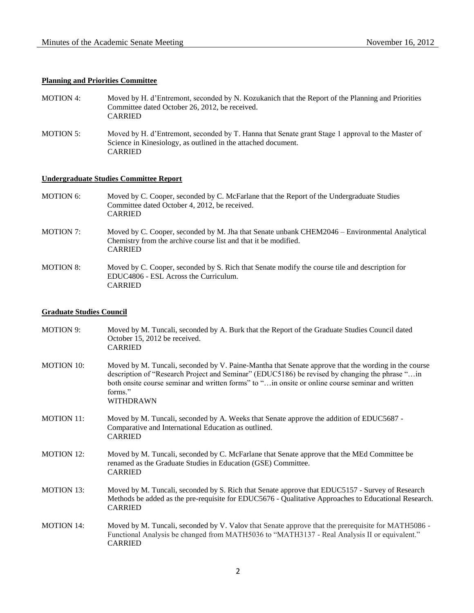## **Planning and Priorities Committee**

| MOTION 4:        | Moved by H. d'Entremont, seconded by N. Kozukanich that the Report of the Planning and Priorities<br>Committee dated October 26, 2012, be received.<br><b>CARRIED</b>         |
|------------------|-------------------------------------------------------------------------------------------------------------------------------------------------------------------------------|
| <b>MOTION 5:</b> | Moved by H. d'Entremont, seconded by T. Hanna that Senate grant Stage 1 approval to the Master of<br>Science in Kinesiology, as outlined in the attached document.<br>CARRIED |

## **Undergraduate Studies Committee Report**

CARRIED

MOTION 6: Moved by C. Cooper, seconded by C. McFarlane that the Report of the Undergraduate Studies Committee dated October 4, 2012, be received. CARRIED MOTION 7: Moved by C. Cooper, seconded by M. Jha that Senate unbank CHEM2046 – Environmental Analytical Chemistry from the archive course list and that it be modified. CARRIED MOTION 8: Moved by C. Cooper, seconded by S. Rich that Senate modify the course tile and description for EDUC4806 - ESL Across the Curriculum.

#### **Graduate Studies Council**

| <b>MOTION 9:</b>  | Moved by M. Tuncali, seconded by A. Burk that the Report of the Graduate Studies Council dated<br>October 15, 2012 be received.<br><b>CARRIED</b>                                                                                                                                                                                   |
|-------------------|-------------------------------------------------------------------------------------------------------------------------------------------------------------------------------------------------------------------------------------------------------------------------------------------------------------------------------------|
| <b>MOTION 10:</b> | Moved by M. Tuncali, seconded by V. Paine-Mantha that Senate approve that the wording in the course<br>description of "Research Project and Seminar" (EDUC5186) be revised by changing the phrase " in<br>both onsite course seminar and written forms" to " in onsite or online course seminar and written<br>forms."<br>WITHDRAWN |
| <b>MOTION 11:</b> | Moved by M. Tuncali, seconded by A. Weeks that Senate approve the addition of EDUC5687 -<br>Comparative and International Education as outlined.<br><b>CARRIED</b>                                                                                                                                                                  |
| <b>MOTION 12:</b> | Moved by M. Tuncali, seconded by C. McFarlane that Senate approve that the MEd Committee be<br>renamed as the Graduate Studies in Education (GSE) Committee.<br><b>CARRIED</b>                                                                                                                                                      |
| <b>MOTION 13:</b> | Moved by M. Tuncali, seconded by S. Rich that Senate approve that EDUC5157 - Survey of Research<br>Methods be added as the pre-requisite for EDUC5676 - Qualitative Approaches to Educational Research.<br><b>CARRIED</b>                                                                                                           |
| <b>MOTION 14:</b> | Moved by M. Tuncali, seconded by V. Valov that Senate approve that the prerequisite for MATH5086 -<br>Functional Analysis be changed from MATH5036 to "MATH3137 - Real Analysis II or equivalent."<br><b>CARRIED</b>                                                                                                                |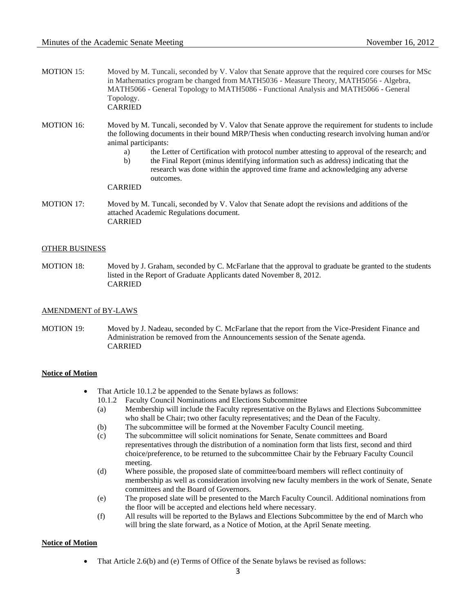- MOTION 15: Moved by M. Tuncali, seconded by V. Valov that Senate approve that the required core courses for MSc in Mathematics program be changed from MATH5036 - Measure Theory, MATH5056 - Algebra, MATH5066 - General Topology to MATH5086 - Functional Analysis and MATH5066 - General Topology. CARRIED
- MOTION 16: Moved by M. Tuncali, seconded by V. Valov that Senate approve the requirement for students to include the following documents in their bound MRP/Thesis when conducting research involving human and/or animal participants:
	- a) the Letter of Certification with protocol number attesting to approval of the research; and
	- b) the Final Report (minus identifying information such as address) indicating that the research was done within the approved time frame and acknowledging any adverse

## CARRIED

outcomes.

MOTION 17: Moved by M. Tuncali, seconded by V. Valov that Senate adopt the revisions and additions of the attached Academic Regulations document. CARRIED

#### OTHER BUSINESS

MOTION 18: Moved by J. Graham, seconded by C. McFarlane that the approval to graduate be granted to the students listed in the Report of Graduate Applicants dated November 8, 2012. CARRIED

### AMENDMENT of BY-LAWS

MOTION 19: Moved by J. Nadeau, seconded by C. McFarlane that the report from the Vice-President Finance and Administration be removed from the Announcements session of the Senate agenda. CARRIED

#### **Notice of Motion**

- That Article 10.1.2 be appended to the Senate bylaws as follows:
	- 10.1.2 Faculty Council Nominations and Elections Subcommittee
	- (a) Membership will include the Faculty representative on the Bylaws and Elections Subcommittee who shall be Chair; two other faculty representatives; and the Dean of the Faculty.
	- (b) The subcommittee will be formed at the November Faculty Council meeting.
	- (c) The subcommittee will solicit nominations for Senate, Senate committees and Board representatives through the distribution of a nomination form that lists first, second and third choice/preference, to be returned to the subcommittee Chair by the February Faculty Council meeting.
	- (d) Where possible, the proposed slate of committee/board members will reflect continuity of membership as well as consideration involving new faculty members in the work of Senate, Senate committees and the Board of Governors.
	- (e) The proposed slate will be presented to the March Faculty Council. Additional nominations from the floor will be accepted and elections held where necessary.
	- (f) All results will be reported to the Bylaws and Elections Subcommittee by the end of March who will bring the slate forward, as a Notice of Motion, at the April Senate meeting.

#### **Notice of Motion**

• That Article 2.6(b) and (e) Terms of Office of the Senate bylaws be revised as follows: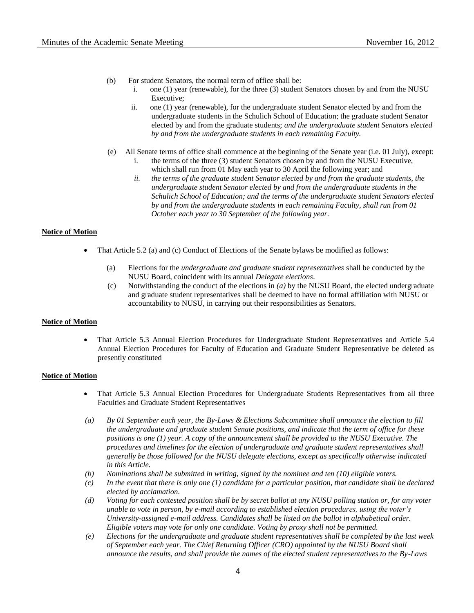- (b) For student Senators, the normal term of office shall be:
	- i. one (1) year (renewable), for the three (3) student Senators chosen by and from the NUSU Executive;
	- ii. one (1) year (renewable), for the undergraduate student Senator elected by and from the undergraduate students in the Schulich School of Education; the graduate student Senator elected by and from the graduate students; *and the undergraduate student Senators elected by and from the undergraduate students in each remaining Faculty.*
- (e) All Senate terms of office shall commence at the beginning of the Senate year (i.e. 01 July), except: i. the terms of the three (3) student Senators chosen by and from the NUSU Executive, which shall run from 01 May each year to 30 April the following year; and
	- *ii. the terms of the graduate student Senator elected by and from the graduate students, the undergraduate student Senator elected by and from the undergraduate students in the Schulich School of Education; and the terms of the undergraduate student Senators elected by and from the undergraduate students in each remaining Faculty, shall run from 01 October each year to 30 September of the following year.*

#### **Notice of Motion**

- That Article 5.2 (a) and (c) Conduct of Elections of the Senate bylaws be modified as follows:
	- (a) Elections for the *undergraduate and graduate student representatives* shall be conducted by the NUSU Board, coincident with its annual *Delegate elections*.
	- (c) Notwithstanding the conduct of the elections in *(a)* by the NUSU Board, the elected undergraduate and graduate student representatives shall be deemed to have no formal affiliation with NUSU or accountability to NUSU, in carrying out their responsibilities as Senators.

#### **Notice of Motion**

 That Article 5.3 Annual Election Procedures for Undergraduate Student Representatives and Article 5.4 Annual Election Procedures for Faculty of Education and Graduate Student Representative be deleted as presently constituted

#### **Notice of Motion**

- That Article 5.3 Annual Election Procedures for Undergraduate Students Representatives from all three Faculties and Graduate Student Representatives
- *(a) By 01 September each year, the By-Laws & Elections Subcommittee shall announce the election to fill the undergraduate and graduate student Senate positions, and indicate that the term of office for these positions is one (1) year. A copy of the announcement shall be provided to the NUSU Executive. The procedures and timelines for the election of undergraduate and graduate student representatives shall generally be those followed for the NUSU delegate elections, except as specifically otherwise indicated in this Article.*
- *(b) Nominations shall be submitted in writing, signed by the nominee and ten (10) eligible voters.*
- *(c) In the event that there is only one (1) candidate for a particular position, that candidate shall be declared elected by acclamation.*
- *(d) Voting for each contested position shall be by secret ballot at any NUSU polling station or, for any voter unable to vote in person, by e-mail according to established election procedures, using the voter's University-assigned e-mail address. Candidates shall be listed on the ballot in alphabetical order. Eligible voters may vote for only one candidate. Voting by proxy shall not be permitted.*
- *(e) Elections for the undergraduate and graduate student representatives shall be completed by the last week of September each year. The Chief Returning Officer (CRO) appointed by the NUSU Board shall announce the results, and shall provide the names of the elected student representatives to the By-Laws*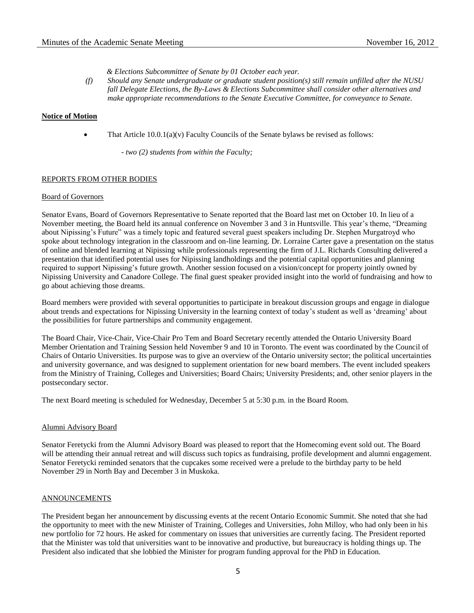*& Elections Subcommittee of Senate by 01 October each year.*

*(f) Should any Senate undergraduate or graduate student position(s) still remain unfilled after the NUSU fall Delegate Elections, the By-Laws & Elections Subcommittee shall consider other alternatives and make appropriate recommendations to the Senate Executive Committee, for conveyance to Senate.*

#### **Notice of Motion**

That Article  $10.0.1(a)(v)$  Faculty Councils of the Senate bylaws be revised as follows:

*- two (2) students from within the Faculty;*

#### REPORTS FROM OTHER BODIES

#### Board of Governors

Senator Evans, Board of Governors Representative to Senate reported that the Board last met on October 10. In lieu of a November meeting, the Board held its annual conference on November 3 and 3 in Huntsville. This year's theme, "Dreaming about Nipissing's Future" was a timely topic and featured several guest speakers including Dr. Stephen Murgatroyd who spoke about technology integration in the classroom and on-line learning. Dr. Lorraine Carter gave a presentation on the status of online and blended learning at Nipissing while professionals representing the firm of J.L. Richards Consulting delivered a presentation that identified potential uses for Nipissing landholdings and the potential capital opportunities and planning required to support Nipissing's future growth. Another session focused on a vision/concept for property jointly owned by Nipissing University and Canadore College. The final guest speaker provided insight into the world of fundraising and how to go about achieving those dreams.

Board members were provided with several opportunities to participate in breakout discussion groups and engage in dialogue about trends and expectations for Nipissing University in the learning context of today's student as well as 'dreaming' about the possibilities for future partnerships and community engagement.

The Board Chair, Vice-Chair, Vice-Chair Pro Tem and Board Secretary recently attended the Ontario University Board Member Orientation and Training Session held November 9 and 10 in Toronto. The event was coordinated by the Council of Chairs of Ontario Universities. Its purpose was to give an overview of the Ontario university sector; the political uncertainties and university governance, and was designed to supplement orientation for new board members. The event included speakers from the Ministry of Training, Colleges and Universities; Board Chairs; University Presidents; and, other senior players in the postsecondary sector.

The next Board meeting is scheduled for Wednesday, December 5 at 5:30 p.m. in the Board Room.

#### Alumni Advisory Board

Senator Feretycki from the Alumni Advisory Board was pleased to report that the Homecoming event sold out. The Board will be attending their annual retreat and will discuss such topics as fundraising, profile development and alumni engagement. Senator Feretycki reminded senators that the cupcakes some received were a prelude to the birthday party to be held November 29 in North Bay and December 3 in Muskoka.

#### ANNOUNCEMENTS

The President began her announcement by discussing events at the recent Ontario Economic Summit. She noted that she had the opportunity to meet with the new Minister of Training, Colleges and Universities, John Milloy, who had only been in his new portfolio for 72 hours. He asked for commentary on issues that universities are currently facing. The President reported that the Minister was told that universities want to be innovative and productive, but bureaucracy is holding things up. The President also indicated that she lobbied the Minister for program funding approval for the PhD in Education.